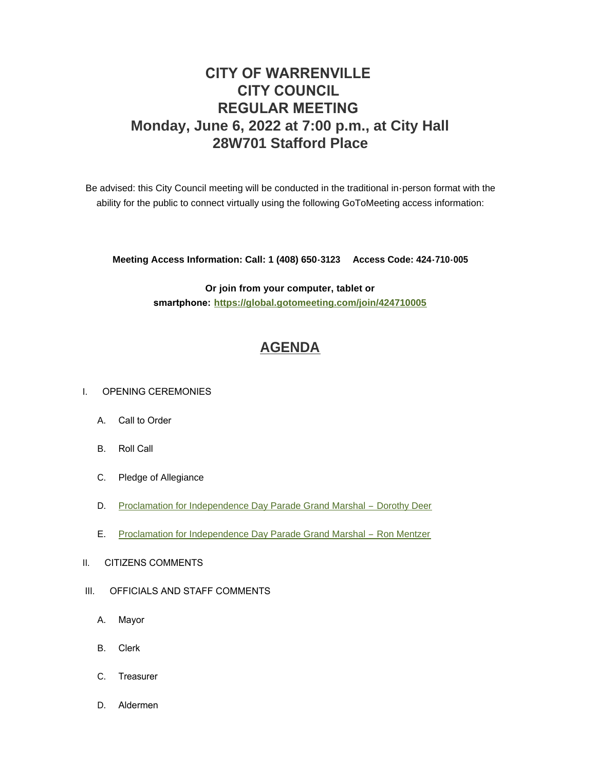# **CITY OF WARRENVILLE CITY COUNCIL REGULAR MEETING Monday, June 6, 2022 at 7:00 p.m., at City Hall 28W701 Stafford Place**

Be advised: this City Council meeting will be conducted in the traditional in-person format with the ability for the public to connect virtually using the following GoToMeeting access information:

**Meeting Access Information: Call: 1 (408) 650-3123 Access Code: 424-710-005**

**Or join from your computer, tablet or smartphone: <https://global.gotomeeting.com/join/424710005>**

# **[AGENDA](https://www.warrenville.il.us/DocumentCenter/View/19212/06-06-22-Agenda-Packet-PDF)**

#### I. OPENING CEREMONIES

- A. Call to Order
- B. Roll Call
- C. Pledge of Allegiance
- D. [Proclamation for Independence Day Parade Grand Marshal](https://www.warrenville.il.us/DocumentCenter/View/19215/ID-Proclamation---Parade-Marshal-2022---Dorothy-Deer-PDF)  Dorothy Deer
- E. [Proclamation for Independence Day Parade Grand Marshal](https://www.warrenville.il.us/DocumentCenter/View/19216/IE-Proclamation---Parade-Marshal-2022---Ron-Mentzer-PDF)  Ron Mentzer
- II. CITIZENS COMMENTS
- III. OFFICIALS AND STAFF COMMENTS
	- A. Mayor
	- B. Clerk
	- C. Treasurer
	- D. Aldermen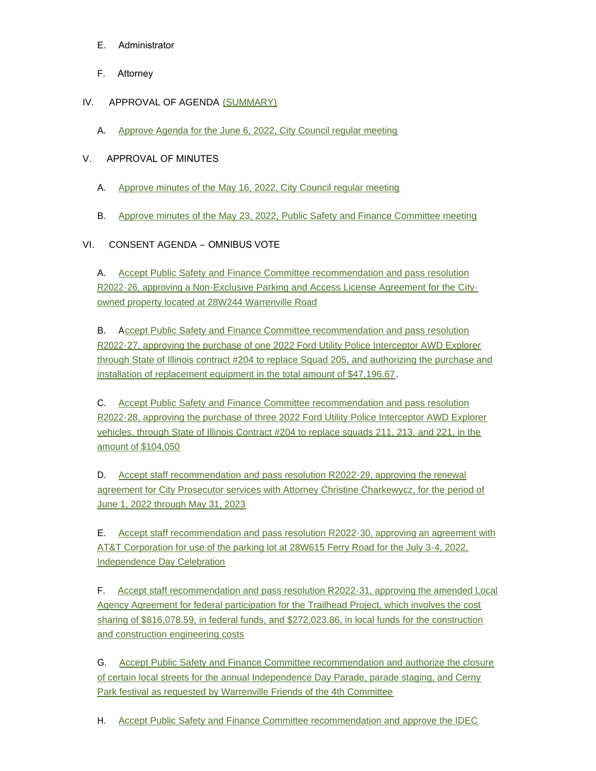- E. Administrator
- F. Attorney
- IV. APPROVAL OF AGENDA [\(SUMMARY\)](https://www.warrenville.il.us/DocumentCenter/View/19214/06-06-22-Summary-PDF)
	- A. [Approve Agenda for the June 6, 2022, City Council regular meeting](https://www.warrenville.il.us/DocumentCenter/View/19213/06-06-22-Agenda-PDF)

### V. APPROVAL OF MINUTES

- A. [Approve minutes of the May 16, 2022, City Council regular meeting](https://www.warrenville.il.us/DocumentCenter/View/19217/VA-05-16-22-Regular-Council-Minutes-PDF)
- B. [Approve minutes of the May 23, 2022, Public Safety and Finance Committee meeting](https://www.warrenville.il.us/DocumentCenter/View/19218/VB-05-23-22-PS_F-Minutes-PDF)

### VI. CONSENT AGENDA – OMNIBUS VOTE

A. Accept Public Safety and Finance Committee recommendation and pass resolution R202[2-26, approving a Non-Exclusive Parking and Access License Agreement for the City](https://www.warrenville.il.us/DocumentCenter/View/19219/VIA-R2022-26-Approving-Parking-and-Access-License-Agreement-with-Voegtles--PDF)owned property located at 28W244 Warrenville Road

B. Accept Public Safety and Finance Committee recommendation and pass resolution R2022-27, approving the purchase of one 2022 Ford Utility Police Interceptor AWD Explorer throug[h State of Illinois contract #204 to replace Squad 205, and authorizing the purchase and](https://www.warrenville.il.us/DocumentCenter/View/19220/VIB-R2022-27-Approving-Purchase-of-Unmarked-Police-Vehicle--for-squad-205-PDF)  installation of replacement equipment in the total amount of \$47,196.67.

C. Accept Public Safety and Finance Committee recommendation and pass resolution R202[2-28, approving the purchase of three 2022 Ford Utility Police Interceptor AWD Explorer](https://www.warrenville.il.us/DocumentCenter/View/19221/VIC-R2022-28-Approving-Purchase-of-3-Police-Squad-Vehicles-2022-PDF)  vehicles, through State of Illinois Contract #204 to replace squads 211, 213, and 221, in the amount of \$104,050

D. Accept staff recommendation and pass resolution R2022-29, approving the renewal agre[ement for City Prosecutor services with Attorney Christine Charkewycz, for the period of](https://www.warrenville.il.us/DocumentCenter/View/19222/VID-R2022-29-Approving-Agreement-with-Christine-Charkewycz--PDF)  June 1, 2022 through May 31, 2023

E. [Accept staff recommendation and pass resolution R2022-30, approving an agreement with](https://www.warrenville.il.us/DocumentCenter/View/19223/VIE-R2022-30-Agreement-with-ATT-for-July-3-4-Event-Parking-2022-PDF)  AT&T Corporation for use of the parking lot at 28W615 Ferry Road for the July 3-4, 2022, Independence Day Celebration

F. Accept staff recommendation and pass resolution R2022-31, approving the amended Local Agency Agreement for federal participation for the Trailhead Project, which involves the cost sharing of \$816,078.59, in federal funds, and \$272,023.86, in local funds for the construction and construction engineering costs

G. [Accept Public Safety and Finance Committee recommendation and authorize the closure](https://www.warrenville.il.us/DocumentCenter/View/19225/VIG-Road-closures-for-4th-of-July-Celebration-PDF)  of certain local streets for the annual Independence Day Parade, parade staging, and Cerny Park festival as requested by Warrenville Friends of the 4th Committee

H. Accept Public Safety and Finance Committee recommendation and approve the IDEC